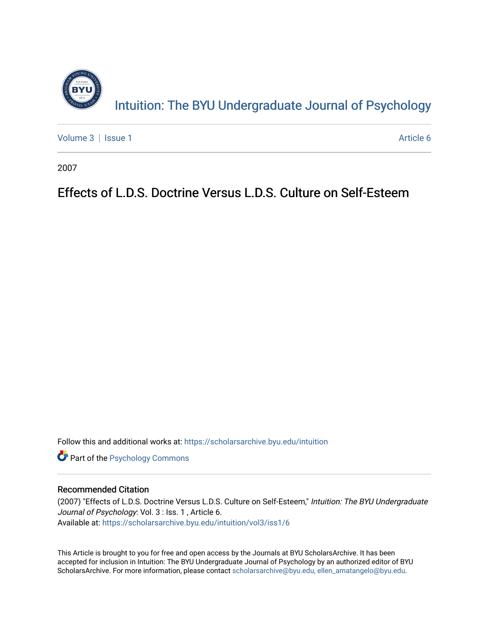

[Volume 3](https://scholarsarchive.byu.edu/intuition/vol3) | [Issue 1](https://scholarsarchive.byu.edu/intuition/vol3/iss1) Article 6

2007

# Effects of L.D.S. Doctrine Versus L.D.S. Culture on Self-Esteem

Follow this and additional works at: [https://scholarsarchive.byu.edu/intuition](https://scholarsarchive.byu.edu/intuition?utm_source=scholarsarchive.byu.edu%2Fintuition%2Fvol3%2Fiss1%2F6&utm_medium=PDF&utm_campaign=PDFCoverPages) 

**Part of the Psychology Commons** 

#### Recommended Citation

(2007) "Effects of L.D.S. Doctrine Versus L.D.S. Culture on Self-Esteem," Intuition: The BYU Undergraduate Journal of Psychology: Vol. 3 : Iss. 1, Article 6. Available at: [https://scholarsarchive.byu.edu/intuition/vol3/iss1/6](https://scholarsarchive.byu.edu/intuition/vol3/iss1/6?utm_source=scholarsarchive.byu.edu%2Fintuition%2Fvol3%2Fiss1%2F6&utm_medium=PDF&utm_campaign=PDFCoverPages)

This Article is brought to you for free and open access by the Journals at BYU ScholarsArchive. It has been accepted for inclusion in Intuition: The BYU Undergraduate Journal of Psychology by an authorized editor of BYU ScholarsArchive. For more information, please contact [scholarsarchive@byu.edu, ellen\\_amatangelo@byu.edu.](mailto:scholarsarchive@byu.edu,%20ellen_amatangelo@byu.edu)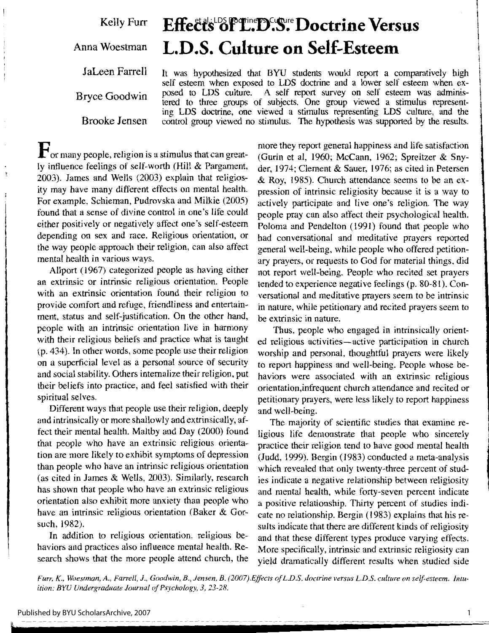Kelly Furr

Anna Woestman

I

JaLeen Farrell

Bryce Goodwin

Brooke Jensen

Effects of L.D.S. Doctrine Versus **L.D.S. Culture on Self-Esteem** 

It was hypothesized that BYU students would report a comparatively high self esteem when exposed to LDS doctrine and a lower self esteem when exposed to LDS culture. A self report survey on self esteem was administered to three groups of subjects. One group viewed a stimulus representing LDS doctrine, one viewed a stimulus representing LDS culture, and the control group viewed no stimulus. The hypothesis was supported by the results.

**F** or many people, religion is a stimulus that can greatly influence feelings of self-worth (Hill & Pargament, 2003). James and Wells (2003) explain that religiosity may have many different effects on mental health. For example, Schieman, Pudrovska and Milkie (2005) found that a sense of divine control in one's life could either positively or negatively affect one's self-esteem depending on sex and race. Religious orientation, or the way people approach their religion, can also affect mental health in various ways.

Allport (1967) categorized people as having either an extrinsic or intrinsic religious orientation. People with an extrinsic orientation found their religion to provide comfort and refuge, friendliness and entertainment, status and self-justification. On the other hand, people with an intrinsic orientation live in harmony with their religious beliefs and practice what is taught (p. 434). In other words, some people use their religion on a superficial level as a personal source of security and social stability. Others internalize their religion, put their beliefs into practice, and feel satisfied with their spiritual selves.

Different ways that people use their religion, deeply and intrinsically or more shallowly and extrinsically, affect their mental health. Maltby and Day (2000) found that people who have an extrinsic religious orientation are more likely to exhibit symptoms of depression than people who have an intrinsic religious orientation (as cited in James & Wells, 2003). Similarly, research has shown that people who have an extrinsic religious orientation also exhibit more anxiety than people who have an intrinsic religious orientation (Baker & Gorsuch, 1982).

In addition to religious orientation, religious behaviors and practices also influence mental health. Research shows that the more people attend church, the more they report general happiness and life satisfaction (Gurin et al, 1960; McCann, 1962; Spreitzer & Snyder, 1974; Clement & Sauer, 1976; as cited in Petersen & Roy, 1985). Church attendance seems to be an expression of intrinsic religiosity because it is a way to actively participate and live one's religion. The way people pray can also affect their psychological health. Poloma and Pendelton ( 1991) found that people who had conversational and meditative prayers reported general well-being, while people who offered petitionary prayers, or requests to God for material things, did not report well-being. People who recited set prayers tended to experience negative feelings (p. 80-81). Conversational and meditative prayers seem to be intrinsic in nature, while petitionary and recited prayers seem to be extrinsic in nature.

Thus, people who engaged in intrinsically oriented religious activities—active participation in church worship and personal, thoughtful prayers were likely to report happiness and well-being. People whose behaviors were associated with an extrinsic religious orientation,infrequent church attendance and recited or petitionary prayers, were less likely to report happiness and well-being.

The majority of scientific studies that examine religious life demonstrate that people who sincerely practice their religion tend to have good mental health (Judd, 1999). Bergin (1983) conducted a meta-analysis which revealed that only twenty-three percent of studies indicate a negative relationship between religiosity and mental health, while forty-seven percent indicate a positive relationship. Thirty percent of studies indicate no relationship. Bergin (1983) explains that his results indicate that there are different kinds of religiosity and that these different types produce varying effects. More specifically, intrinsic and extrinsic religiosity can yield dramatically different results when studied side

*Furr, K., Woestman, A., Farrell, J., Goodwin, B., Jensen, B. (2007).E.ffects of L.D.S. doctrine versus L.D.S. culture on self-esteem. Intuition: BYU Undergraduate Journal of Psychology, 3, 23-28.* 

1

l

 $\mathbf{I}$ l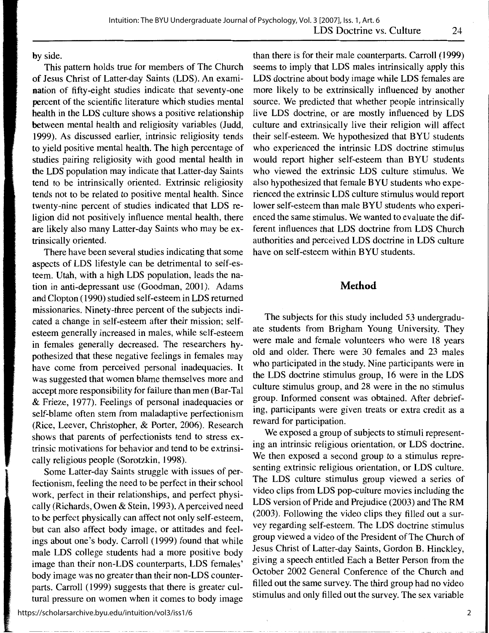**by** side.

This pattern holds true for members of The Church **of** Jesus Christ of Latter-day Saints (LDS). An examination of fifty-eight studies indicate that seventy-one percent of the scientific literature which studies mental health in the LDS culture shows a positive relationship between mental health and religiosity variables (Judd, 1999). As discussed earlier, intrinsic religiosity tends to yield positive mental health. The high percentage of studies pairing religiosity with good mental health in the LDS population may indicate that Latter-day Saints tend to be intrinsically oriented. Extrinsic religiosity tends not to be related to positive mental health. Since twenty-nine percent of studies indicated that LDS religion did not positively influence mental health, there are likely also many Latter-day Saints who may be extrinsically oriented.

There have been several studies indicating that some aspects of LDS lifestyle can be detrimental to self-esteem. Utah, with a high LDS population, leads the nation in anti-depressant use (Goodman, 2001). Adams and Clopton (1990) studied self-esteem in LDS returned missionaries. Ninety-three percent of the subjects indicated a change in self-esteem after their mission; selfesteem generally increased in males, while self-esteem in females generally decreased. The researchers hypothesized that these negative feelings in females may have come from perceived personal inadequacies. It was suggested that women blame themselves more and accept more responsibility for failure than men (Bar-Tal & Frieze, 1977). Feelings of personal inadequacies or self-blame often stem from maladaptive perfectionism (Rice, Leever, Christopher, & Porter, 2006). Research shows that parents of perfectionists tend to stress extrinsic motivations for behavior and tend to be extrinsically religious people (Sorotzkin, 1998).

Some Latter-day Saints struggle with issues of perfectionism, feeling the need to be perfect in their school work, perfect in their relationships, and perfect physically (Richards, Owen & Stein, 1993). A perceived need to be perfect physically can affect not only self-esteem, but can also affect body image, or attitudes and feelings about one's body. Carroll (1999) found that while male LOS college students had a more positive body image than their non-LDS counterparts, LDS females' body image was no greater than their non-LDS counterparts. Carroll (1999) suggests that there is greater cultural pressure on women when it comes to body image

than there is for their male counterparts. Carroll ( 1999) seems to imply that LDS males intrinsically apply this LDS doctrine about body image while LDS females are more likely to be extrinsically influenced by another source. We predicted that whether people intrinsically live LDS doctrine, or are mostly influenced by LDS culture and extrinsically live their religion will affect their self-esteem. We hypothesized that BYU students who experienced the intrinsic LDS doctrine stimulus would report higher self-esteem than BYU students who viewed the extrinsic LDS culture stimulus. We also hypothesized that female BYU students who experienced the extrinsic LDS culture stimulus would report lower self-esteem than male BYU students who experienced the same stimulus. We wanted to evaluate the different influences that LDS doctrine from LDS Church authorities and perceived LDS doctrine in LDS culture have on self-esteem within BYU students.

# **Method**

The subjects for this study included 53 undergraduate students from Brigham Young University. They were male and female volunteers who were 18 years old and older. There were 30 females and 23 males who participated in the study. Nine participants were in the LDS doctrine stimulus group, 16 were in the LDS culture stimulus group, and 28 were in the no stimulus group. Informed consent was obtained. After debriefing, participants were given treats or extra credit as a reward for participation.

We exposed a group of subjects to stimuli representing an intrinsic religious orientation, or LDS doctrine. We then exposed a second group to a stimulus representing extrinsic religious orientation, or LDS culture. The LDS culture stimulus group viewed a series of video clips from LDS pop-culture movies including the LDS version of Pride and Prejudice (2003) and The RM (2003). Following the video clips they filled out a survey regarding self-esteem. The LDS doctrine stimulus group viewed a video of the President of The Church of Jesus Christ of Latter-day Saints, Gordon B. Hinckley, giving a speech entitled Each a Better Person from the October 2002 General Conference of the Church and filled out the same survey. The third group had no video stimulus and only filled out the survey. The sex variable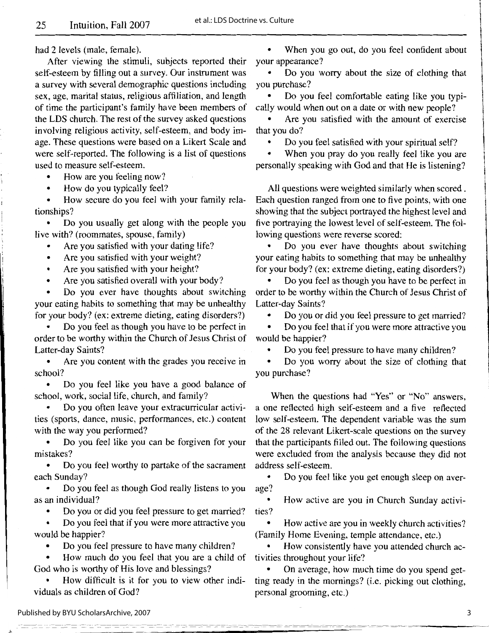had 2 levels (male, female).

After viewing the stimuli, subjects reported their self-esteem by filling out a survey. Our instrument was a survey with several demographic questions including sex, age, marital status, religious affiliation, and length of time the participant's family have been members of the LDS church. The rest of the survey asked questions involving religious activity, self-esteem, and body image. These questions were based on a Likert Scale and were self-reported. The following is a list of questions used to measure self-esteem.

How are you feeling now?

• How do you typically feel?

• How secure do you feel with your family relationships?

• Do you usually get along with the people you live with? (roommates, spouse, family)

Are you satisfied with your dating life?

• Are you satisfied with your weight?

Are you satisfied with your height?

Are you satisfied overall with your body?

• Do you ever have thoughts about switching your eating habits to something that may be unhealthy for your body? (ex: extreme dieting, eating disorders?)

• Do you feel as though you have to be perfect in order to be worthy within the Church of Jesus Christ of Latter-day Saints?

Are you content with the grades you receive in school?

• Do you feel like you have a good balance of school, work, social life, church, and family?

• Do you often leave your extracurricular activities (sports, dance, music, performances, etc.) content with the way you performed?

• Do you feel like you can be forgiven for your mistakes?

• Do you feel worthy to partake of the sacrament each Sunday?

• Do you feel as though God really listens to you as an individual?

• Do you or did you feel pressure to get married?

• Do you feel that if you were more attractive you would be happier?

• Do you feel pressure to have many children?

• How much do you feel that you are a child of God who is worthy of His love and blessings?

How difficult is it for you to view other individuals as children of God?

- - -- - -- - -- - - - ----\_ ----- - - -- --- -\_\_ ---\_-- ---- -

• When you go out, do you feel confident about your appearance?

**12.** 

I

• Do you worry about the size of clothing that you purchase?

• Do you feel comfortable eating like you typica11y would when out on a date or with new people?

Are you satisfied with the amount of exercise that you do?

• Do you feel satisfied with your spiritual self?

When you pray do you really feel like you are personally speaking with God and that He is listening?

All questions were weighted similarly when scored . Each question ranged from one to five points, with one showing that the subject portrayed the highest level and five portraying the lowest level of self-esteem. The following questions were reverse scored:

• Do you ever have thoughts about switching your eating habits to something that may be unhealthy for your body? (ex: extreme dieting, eating disorders?)

• Do you feel as though you have to be perfect in order to be worthy within the Church of Jesus Christ of Latter-day Saints?

• Do you or did you feel pressure to get married?

• Do you feel that if you were more attractive you would be happier?

• Do you feel pressure to have many children?

• Do you worry about the size of clothing that you purchase?

When the questions had "Yes" or "No" answers, a one reflected high self-esteem and a five reflected low self-esteem. The dependent variable was the sum of the 28 relevant Likert-scale questions on the survey that the participants filled out. The following questions were excluded from the analysis because they did not address self-esteem.

• Do you feel like you get enough sleep on average?

• How active are you in Church Sunday activities?

• How active are you in weekly church activities? (Family Home Evening, temple attendance, etc.)

How consistently have you attended church activities throughout your life?

• On average, how much time do you spend getting ready in the mornings? (i.e. picking out clothing, personal grooming, etc.)

.t;: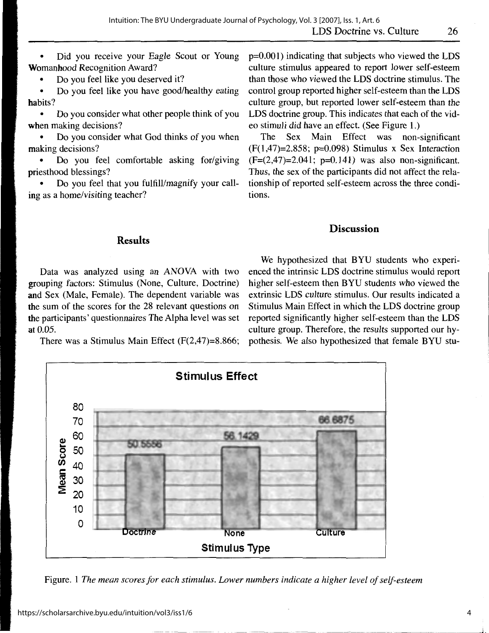Did you receive your Eagle Scout or Young Womanhood Recognition Award?

• Do you feel like you deserved it?

• Do you feel like you have good/healthy eating habits?

• Do you consider what other people think of you **when** making decisions?

• Do you consider what God thinks of you when making decisions?

Do you feel comfortable asking for/giving priesthood blessings?

• Do you feel that you fulfill/magnify your calling as a home/visiting teacher?

p=0.001) indicating that subjects who viewed the LDS culture stimulus appeared to report lower self-esteem than those who viewed the LDS doctrine stimulus. The control group reported higher self-esteem than the LDS culture group, but reported lower self-esteem than the LDS doctrine group. This indicates that each of the video stimuli did have an effect. (See Figure 1.)

The Sex Main Effect was non-significant  $(F(1, 47)=2.858; p=0.098)$  Stimulus x Sex Interaction  $(F=(2,47)=2.041; p=0.141)$  was also non-significant. Thus, the sex of the participants did not affect the relationship of reported self-esteem across the three conditions.

### **Discussion**

## **Results**

Data was analyzed using an ANOVA with two grouping factors: Stimulus (None, Culture, Doctrine) **and** Sex (Male, Female). The dependent variable was **the** sum of the scores for the 28 relevant questions on **the** participants' questionnaires The Alpha level was set **at** 0.05.

There was a Stimulus Main Effect (F(2,47)=8.866;

We hypothesized that BYU students who experienced the intrinsic LDS doctrine stimulus would report higher self-esteem then BYU students who viewed the extrinsic LDS culture stimulus. Our results indicated a Stimulus Main Effect in which the LDS doctrine group reported significantly higher self-esteem than the LDS culture group. Therefore, the results supported our hypothesis. We also hypothesized that female BYU stu-



Figure. 1 *The mean scores for each stimulus. Lower numbers indicate a higher level of self-esteem* 

**J,.**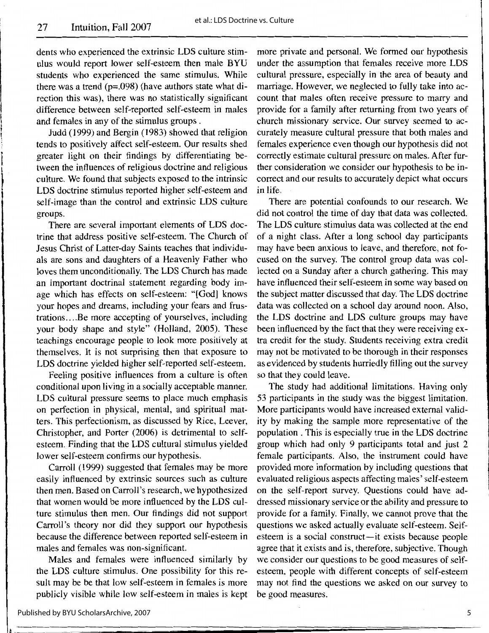i

l

dents who experienced the extrinsic LDS culture stimulus would report lower self-esteem then male BYU students who experienced the same stimulus. While there was a trend  $(p=.098)$  (have authors state what direction this was), there was no statistically significant difference between self-reported self-esteem in males and females in any of the stimulus groups .

Judd (1999) and Bergin (1983) showed that religion tends to positively affect self-esteem. Our results shed greater light on their findings by differentiating between the influences of religious doctrine and religious culture. We found that subjects exposed to the intrinsic LDS doctrine stimulus reported higher self-esteem and self-image than the control and extrinsic LDS culture groups.

There are several important elements of LDS doctrine that address positive self-esteem. The Church of Jesus Christ of Latter-day Saints teaches that individuals are sons and daughters of a Heavenly Father who loves them unconditionally. The LDS Church has made an important doctrinal statement regarding body image which has effects on self-esteem: "[God] knows your hopes and dreams, including your fears and frustrations .... Be more accepting of yourselves, including your body shape and style" (Holland, 2005). These teachings encourage people to look more positively at themselves. It is not surprising then that exposure to LDS doctrine yielded higher self-reported self-esteem.

Feeling positive influences from a culture is often conditional upon living in a socially acceptable manner. LDS cultural pressure seems to place much emphasis on perfection in physical, mental, and spiritual matters. This perfectionism, as discussed by Rice, Leever, Christopher, and Porter (2006) is detrimental to selfesteem. Finding that the LDS cultural stimulus yielded lower self-esteem confirms our hypothesis.

Carroll (1999) suggested that females may be more easily influenced by extrinsic sources such as culture then men. Based on Carroll's research, we hypothesized that women would be more influenced by the LDS culture stimulus then men. Our findings did not support Carroll's theory nor did they support our hypothesis because the difference between reported self-esteem in males and females was non-significant.

Males and females were influenced similarly by the LDS culture stimulus. One possibility for this result may be be that low self-esteem in females is more publicly visible while low self-esteem in males is kept

more private and personal. We formed our hypothesis under the assumption that females receive more LDS cultural pressure, especially in the area of beauty and marriage. However, we neglected to fully take into account that males often receive pressure to marry and provide for a family after returning from two years of church missionary service. Our survey seemed to accurately measure cultural pressure that both males and females experience even though our hypothesis did not correctly estimate cultural pressure on males. After further consideration we consider our hypothesis to be incorrect and our results to accurately depict what occurs in life.

There are potential confounds to our research. We did not control the time of day that data was collected. The LDS culture stimulus data was collected at the end of a night class. After a long school day participants may have been anxious to leave, and therefore, not focused on the survey. The control group data was collected on a Sunday after a church gathering. This may have influenced their self-esteem in some way based on the subject matter discussed that day. The LDS doctrine data was collected on a school day around noon. Also, the LDS doctrine and LDS culture groups may have been influenced by the fact that they were receiving extra credit for the study. Students receiving extra credit may not be motivated to be thorough in their responses as evidenced by students hurriedly filling out the survey so that they could leave.

The study had additional limitations. Having only 53 participants in the study was the biggest limitation. More participants would have increased external validity by making the sample more representative of the population . This is especially true in the LDS doctrine group which had only 9 participants total and just 2 female participants. Also, the instrument could have provided more information by including questions that evaluated religious aspects affecting males' self-esteem on the self-report survey. Questions could have addressed missionary service or the ability and pressure to provide for a family. Finally, we cannot prove that the questions we asked actually evaluate self-esteem. Selfesteem is a social construct-it exists because people agree that it exists and is, therefore, subjective. Though we consider our questions to be good measures of selfesteem, people with different concepts of self-esteem may not find the questions we asked on our survey to be good measures.

Published by BYU ScholarsArchive, 2007

5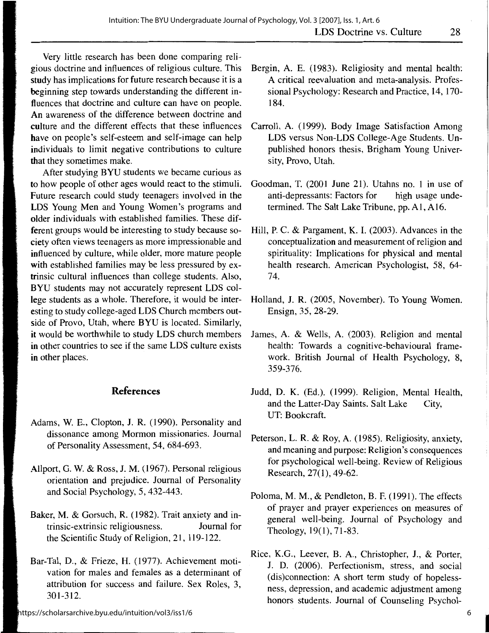Very little research has been done comparing religious doctrine and influences of religious culture. This study has implications for future research because it is a beginning step towards understanding the different influences that doctrine and culture can have on people. **An** awareness of the difference between doctrine and culture and the different effects that these influences have on people's self-esteem and self-image can help individuals to limit negative contributions to culture that they sometimes make.

After studying BYU students we became curious as **to** how people of other ages would react to the stimuli. Future research could study teenagers involved in the **LOS** Young Men and Young Women's programs and older individuals with established families. These different groups would be interesting to study because society often views teenagers as more impressionable and influenced by culture, while older, more mature people **with** established families may be less pressured by extrinsic cultural influences than college students. Also, **BYU** students may not accurately represent LOS college students as a whole. Therefore, it would be interesting to study college-aged LOS Church members outside of Provo, Utah, where BYU is located. Similarly, **it** would be worthwhile to study LOS church members in other countries to see if the same LOS culture exists **in** other places.

# **References**

- Adams, W. E., Clopton, J. R. (1990). Personality and dissonance among Mormon missionaries. Journal of Personality Assessment, 54, 684-693.
- Allport, G. W. & Ross, J.M. (1967). Personal religious orientation and prejudice. Journal of Personality and Social Psychology, 5, 432-443.
- Baker, M. & Gorsuch, R. ( 1982). Trait anxiety and intrinsic-extrinsic religiousness. Journal for the Scientific Study of Religion, 21, 119-122.
- Bar-Tal, D., & Frieze, H. (1977). Achievement motivation for males and females as a determinant of attribution for success and failure. Sex Roles, 3, 301-312.

https://scholarsarchive.byu.edu/intuition/vol3/iss1/6

- Bergin, A. E. (1983). Religiosity and mental health: A critical reevaluation and meta-analysis. Professional Psychology: Research and Practice, 14, 170- 184.
- Carroll, A. (1999). Body Image Satisfaction Among LOS versus Non-LOS College-Age Students. Unpublished honors thesis, Brigham Young University, Provo, Utah.
- Goodman, T. (2001 June 21). Utahns no. 1 in use of anti-depressants: Factors for high usage undetermined. The Salt Lake Tribune, pp. A1, A16.
- Hill, P. C. & Pargament, K. I. (2003). Advances in the conceptualization and measurement of religion and spirituality: Implications for physical and mental health research. American Psychologist, 58, 64- 74.
- Holland, J. R. (2005, November). To Young Women. Ensign, 35, 28-29.
- James, A. & Wells, A. (2003). Religion and mental health: Towards a cognitive-behavioural framework. British Journal of Health Psychology, 8, 359-376.
- Judd, D. K. (Ed.). (1999). Religion, Mental Health, and the Latter-Day Saints. Salt Lake City, UT: Bookcraft.
- Peterson, L. **R.** & Roy, A. ( 1985). Religiosity, anxiety, and meaning and purpose: Religion's consequences for psychological well-being. Review of Religious Research, 27(1), 49-62.
- Poloma, **M. M.,** & Pendleton, **B.** F. (1991). The effects of prayer and prayer experiences on measures of general well-being. Journal of Psychology and Theology,  $19(1)$ ,  $71-83$ .
- Rice, K.G., Leever, B. A., Christopher, J., & Porter, J. D. (2006). Perfectionism, stress, and social (dis)connection: A short term study of hopelessness, depression, and academic adjustment among honors students. Journal of Counseling Psychol-